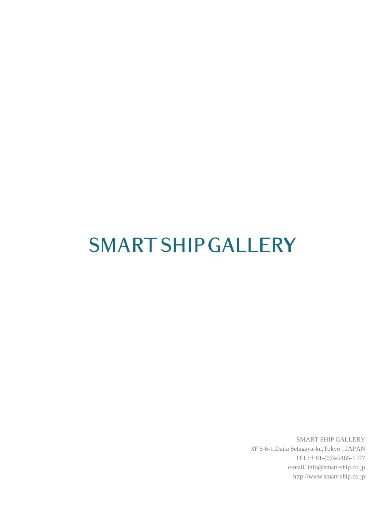# **SMART SHIP GALLERY**

SMART SHIP GALLERY 3F 6-6-1,Daita Setagaya-ku,Tokyo , JAPAN TEL:+81-(0)3-5465-1377 e-mail:info@smart-ship.co.jp http://www.smart-ship.co.jp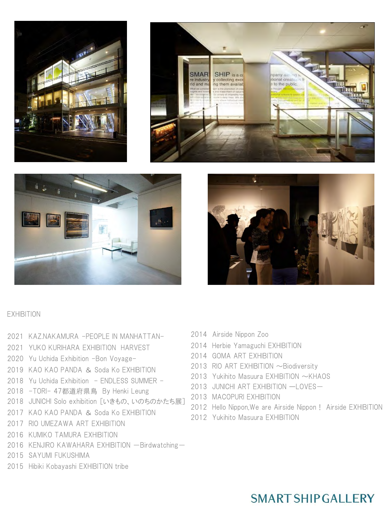







#### EXHIBITION

- 2021 KAZ.NAKAMURA -PEOPLE IN MANHATTAN-
- 2021 YUKO KURIHARA EXHIBITION HARVEST
- 2020 Yu Uchida Exhibition -Bon Voyage-
- 2019 KAO KAO PANDA & Soda Ko EXHIBITION
- 2018 Yu Uchida Exhibition ENDLESS SUMMER -
- 2018 -TORI- 47都道府県鳥 By Henki Leung
- 2018 JUNICHI Solo exhibition 「いきもの、いのちのかたち展]
- 2017 KAO KAO PANDA & Soda Ko EXHIBITION
- 2017 RIO UMEZAWA ART EXHIBITION
- 2016 KUMIKO TAMURA EXHIBITION
- 2016 KENJIRO KAWAHARA EXHIBITION Birdwatching-
- 2015 SAYUMI FUKUSHIMA
- 2015 Hibiki Kobayashi EXHIBITION tribe
- 2014 Airside Nippon Zoo
- 2014 Herbie Yamaguchi EXHIBITION
- 2014 GOMA ART EXHIBITION
- 2013 RIO ART EXHIBITION ~ Biodiversity
- 2013 Yukihito Masuura EXHIBITION ~KHAOS
- 2013 JUNICHI ART EXHIBITION ーLOVES-
- 2013 MACOPURI EXHIBITION
- 2012 Hello Nippon,We are Airside Nippon! Airside EXHIBITION
- 2012 Yukihito Masuura EXHIBITION

## **SMART SHIP GALLERY**